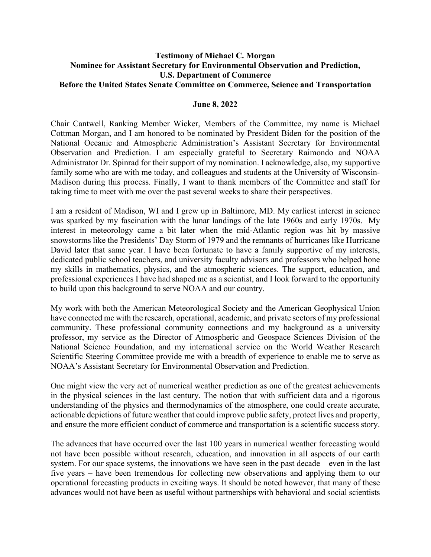## **Testimony of Michael C. Morgan Nominee for Assistant Secretary for Environmental Observation and Prediction, U.S. Department of Commerce Before the United States Senate Committee on Commerce, Science and Transportation**

## **June 8, 2022**

Chair Cantwell, Ranking Member Wicker, Members of the Committee, my name is Michael Cottman Morgan, and I am honored to be nominated by President Biden for the position of the National Oceanic and Atmospheric Administration's Assistant Secretary for Environmental Observation and Prediction. I am especially grateful to Secretary Raimondo and NOAA Administrator Dr. Spinrad for their support of my nomination. I acknowledge, also, my supportive family some who are with me today, and colleagues and students at the University of Wisconsin-Madison during this process. Finally, I want to thank members of the Committee and staff for taking time to meet with me over the past several weeks to share their perspectives.

I am a resident of Madison, WI and I grew up in Baltimore, MD. My earliest interest in science was sparked by my fascination with the lunar landings of the late 1960s and early 1970s. My interest in meteorology came a bit later when the mid-Atlantic region was hit by massive snowstorms like the Presidents' Day Storm of 1979 and the remnants of hurricanes like Hurricane David later that same year. I have been fortunate to have a family supportive of my interests, dedicated public school teachers, and university faculty advisors and professors who helped hone my skills in mathematics, physics, and the atmospheric sciences. The support, education, and professional experiences I have had shaped me as a scientist, and I look forward to the opportunity to build upon this background to serve NOAA and our country.

My work with both the American Meteorological Society and the American Geophysical Union have connected me with the research, operational, academic, and private sectors of my professional community. These professional community connections and my background as a university professor, my service as the Director of Atmospheric and Geospace Sciences Division of the National Science Foundation, and my international service on the World Weather Research Scientific Steering Committee provide me with a breadth of experience to enable me to serve as NOAA's Assistant Secretary for Environmental Observation and Prediction.

One might view the very act of numerical weather prediction as one of the greatest achievements in the physical sciences in the last century. The notion that with sufficient data and a rigorous understanding of the physics and thermodynamics of the atmosphere, one could create accurate, actionable depictions of future weather that could improve public safety, protect lives and property, and ensure the more efficient conduct of commerce and transportation is a scientific success story.

The advances that have occurred over the last 100 years in numerical weather forecasting would not have been possible without research, education, and innovation in all aspects of our earth system. For our space systems, the innovations we have seen in the past decade – even in the last five years – have been tremendous for collecting new observations and applying them to our operational forecasting products in exciting ways. It should be noted however, that many of these advances would not have been as useful without partnerships with behavioral and social scientists